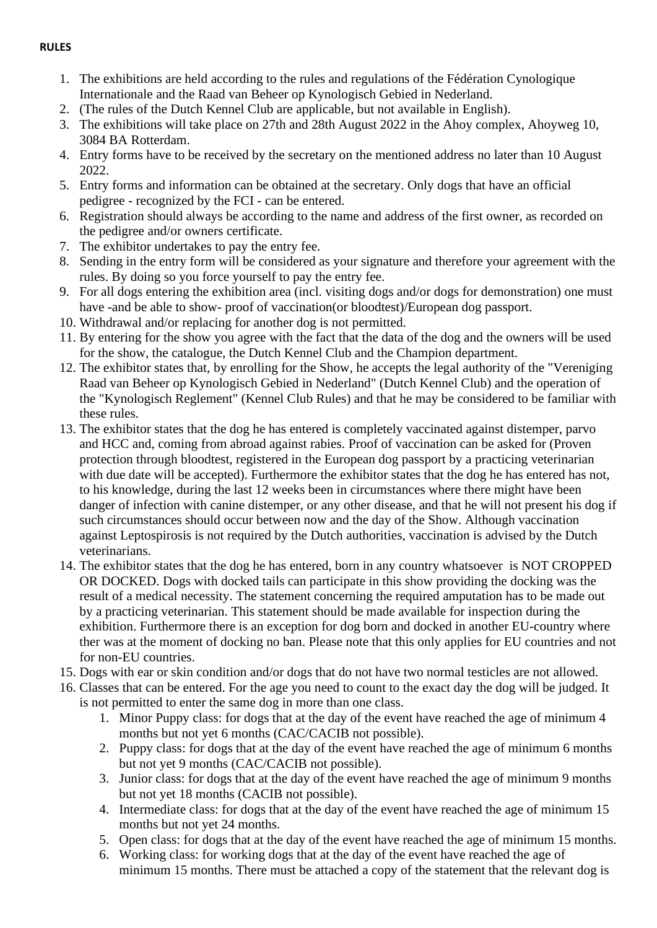## **RULES**

- 1. The exhibitions are held according to the rules and regulations of the Fédération Cynologique Internationale and the Raad van Beheer op Kynologisch Gebied in Nederland.
- 2. (The rules of the Dutch Kennel Club are applicable, but not available in English).
- 3. The exhibitions will take place on 27th and 28th August 2022 in the Ahoy complex, Ahoyweg 10, 3084 BA Rotterdam.
- 4. Entry forms have to be received by the secretary on the mentioned address no later than 10 August 2022.
- 5. Entry forms and information can be obtained at the secretary. Only dogs that have an official pedigree - recognized by the FCI - can be entered.
- 6. Registration should always be according to the name and address of the first owner, as recorded on the pedigree and/or owners certificate.
- 7. The exhibitor undertakes to pay the entry fee.
- 8. Sending in the entry form will be considered as your signature and therefore your agreement with the rules. By doing so you force yourself to pay the entry fee.
- 9. For all dogs entering the exhibition area (incl. visiting dogs and/or dogs for demonstration) one must have -and be able to show- proof of vaccination(or bloodtest)/European dog passport.
- 10. Withdrawal and/or replacing for another dog is not permitted.
- 11. By entering for the show you agree with the fact that the data of the dog and the owners will be used for the show, the catalogue, the Dutch Kennel Club and the Champion department.
- 12. The exhibitor states that, by enrolling for the Show, he accepts the legal authority of the "Vereniging Raad van Beheer op Kynologisch Gebied in Nederland" (Dutch Kennel Club) and the operation of the "Kynologisch Reglement" (Kennel Club Rules) and that he may be considered to be familiar with these rules.
- 13. The exhibitor states that the dog he has entered is completely vaccinated against distemper, parvo and HCC and, coming from abroad against rabies. Proof of vaccination can be asked for (Proven protection through bloodtest, registered in the European dog passport by a practicing veterinarian with due date will be accepted). Furthermore the exhibitor states that the dog he has entered has not, to his knowledge, during the last 12 weeks been in circumstances where there might have been danger of infection with canine distemper, or any other disease, and that he will not present his dog if such circumstances should occur between now and the day of the Show. Although vaccination against Leptospirosis is not required by the Dutch authorities, vaccination is advised by the Dutch veterinarians.
- 14. The exhibitor states that the dog he has entered, born in any country whatsoever is NOT CROPPED OR DOCKED. Dogs with docked tails can participate in this show providing the docking was the result of a medical necessity. The statement concerning the required amputation has to be made out by a practicing veterinarian. This statement should be made available for inspection during the exhibition. Furthermore there is an exception for dog born and docked in another EU-country where ther was at the moment of docking no ban. Please note that this only applies for EU countries and not for non-EU countries.
- 15. Dogs with ear or skin condition and/or dogs that do not have two normal testicles are not allowed.
- 16. Classes that can be entered. For the age you need to count to the exact day the dog will be judged. It is not permitted to enter the same dog in more than one class.
	- 1. Minor Puppy class: for dogs that at the day of the event have reached the age of minimum 4 months but not yet 6 months (CAC/CACIB not possible).
	- 2. Puppy class: for dogs that at the day of the event have reached the age of minimum 6 months but not yet 9 months (CAC/CACIB not possible).
	- 3. Junior class: for dogs that at the day of the event have reached the age of minimum 9 months but not yet 18 months (CACIB not possible).
	- 4. Intermediate class: for dogs that at the day of the event have reached the age of minimum 15 months but not yet 24 months.
	- 5. Open class: for dogs that at the day of the event have reached the age of minimum 15 months.
	- 6. Working class: for working dogs that at the day of the event have reached the age of minimum 15 months. There must be attached a copy of the statement that the relevant dog is